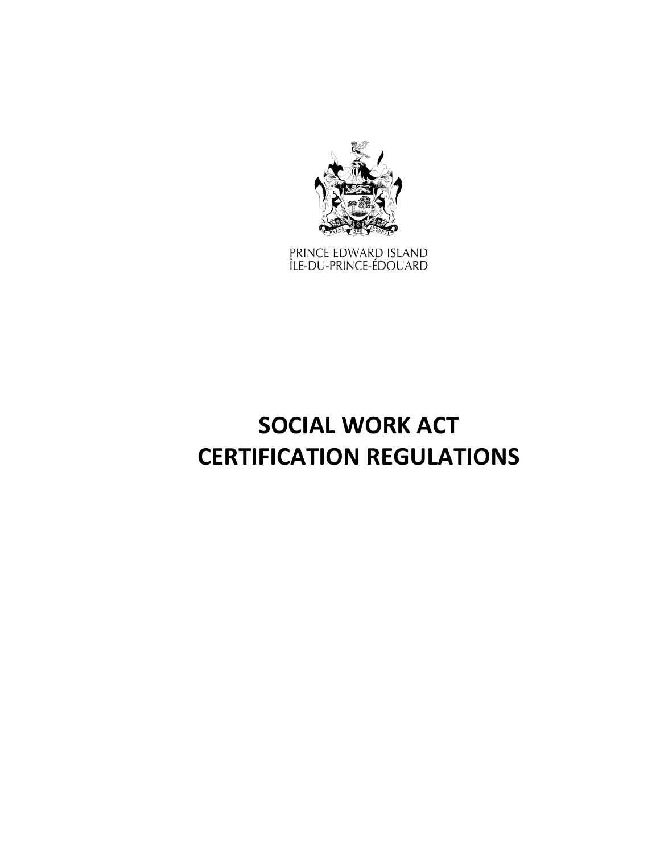

PRINCE EDWARD ISLAND<br>ÎLE-DU-PRINCE-ÉDOUARD

# **SOCIAL WORK ACT CERTIFICATION REGULATIONS**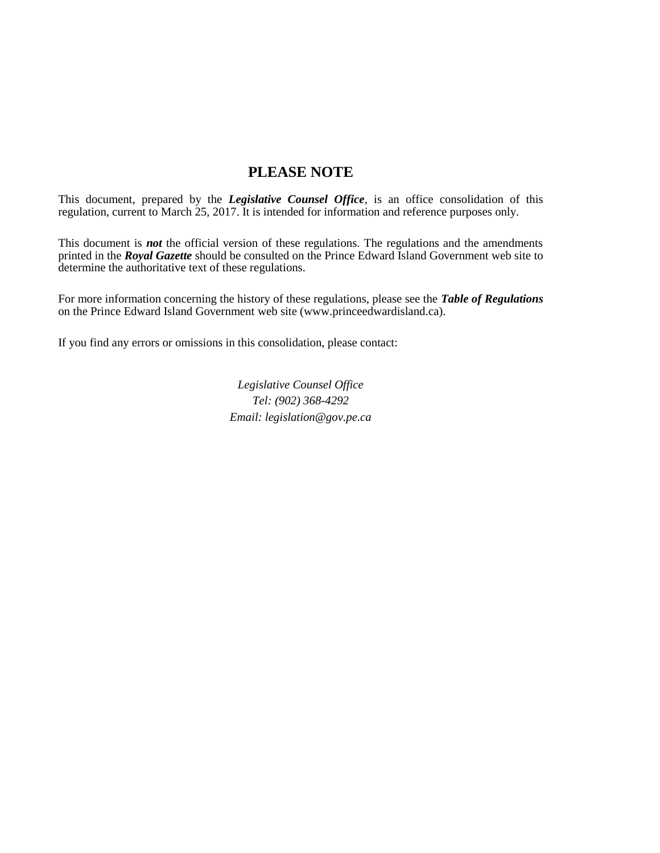# **PLEASE NOTE**

This document, prepared by the *[Legislative Counsel Office](http://www.gov.pe.ca/jps/index.php3?number=1027247)*, is an office consolidation of this regulation, current to March 25, 2017. It is intended for information and reference purposes only.

This document is *not* the official version of these regulations. The regulations and the amendments printed in the *Royal Gazette* should be consulted on the Prince Edward Island Government web site to determine the authoritative text of these regulations.

For more information concerning the history of these regulations, please see the *[Table of Regulations](https://www.princeedwardisland.ca/sites/default/files/publications/leg_table_acts.pdf)* on the Prince Edward Island Government web site (www.princeedwardisland.ca).

If you find any errors or omissions in this consolidation, please contact:

*Legislative Counsel Office Tel: (902) 368-4292 Email: legislation@gov.pe.ca*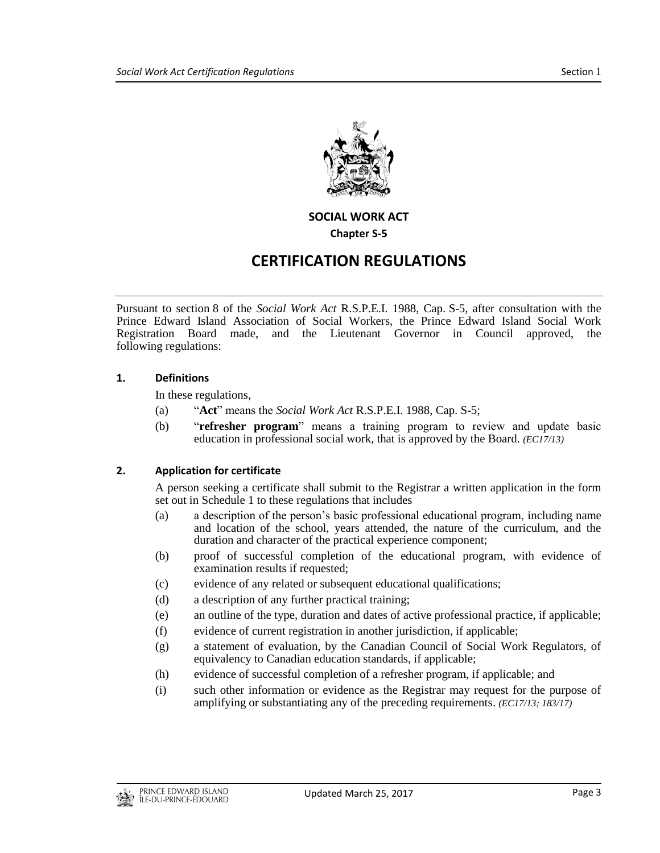

**SOCIAL WORK ACT**

**Chapter S-5**

# **CERTIFICATION REGULATIONS**

Pursuant to section 8 of the *Social Work Act* R.S.P.E.I. 1988, Cap. S-5, after consultation with the Prince Edward Island Association of Social Workers, the Prince Edward Island Social Work Registration Board made, and the Lieutenant Governor in Council approved, the following regulations:

#### **1. Definitions**

In these regulations,

- (a) "**Act**" means the *Social Work Act* R.S.P.E.I. 1988, Cap. S-5;
- (b) "**refresher program**" means a training program to review and update basic education in professional social work, that is approved by the Board. *(EC17/13)*

# **2. Application for certificate**

A person seeking a certificate shall submit to the Registrar a written application in the form set out in Schedule 1 to these regulations that includes

- (a) a description of the person's basic professional educational program, including name and location of the school, years attended, the nature of the curriculum, and the duration and character of the practical experience component;
- (b) proof of successful completion of the educational program, with evidence of examination results if requested;
- (c) evidence of any related or subsequent educational qualifications;
- (d) a description of any further practical training;
- (e) an outline of the type, duration and dates of active professional practice, if applicable;
- (f) evidence of current registration in another jurisdiction, if applicable;
- (g) a statement of evaluation, by the Canadian Council of Social Work Regulators, of equivalency to Canadian education standards, if applicable;
- (h) evidence of successful completion of a refresher program, if applicable; and
- (i) such other information or evidence as the Registrar may request for the purpose of amplifying or substantiating any of the preceding requirements. *(EC17/13; 183/17)*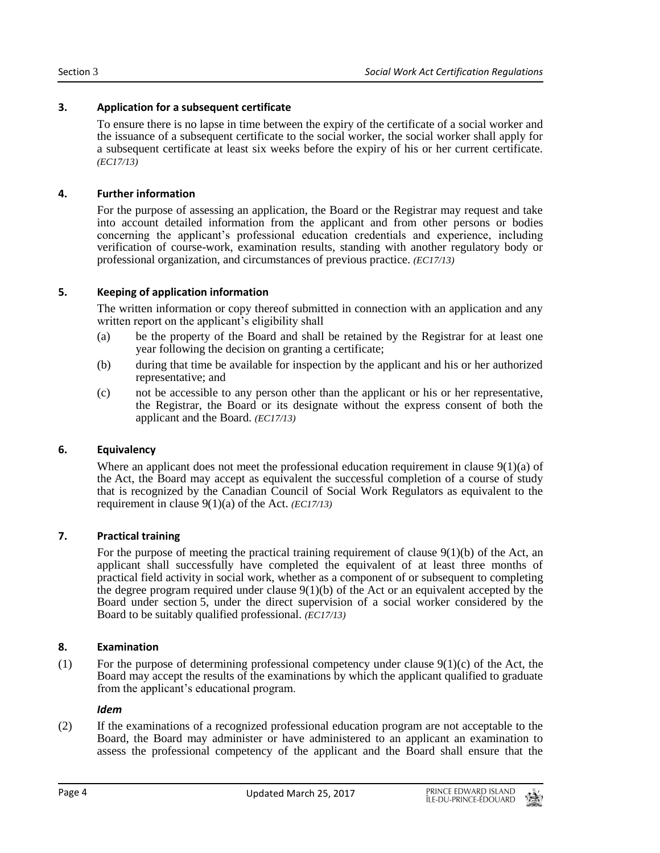# **3. Application for a subsequent certificate**

To ensure there is no lapse in time between the expiry of the certificate of a social worker and the issuance of a subsequent certificate to the social worker, the social worker shall apply for a subsequent certificate at least six weeks before the expiry of his or her current certificate. *(EC17/13)*

# **4. Further information**

For the purpose of assessing an application, the Board or the Registrar may request and take into account detailed information from the applicant and from other persons or bodies concerning the applicant's professional education credentials and experience, including verification of course-work, examination results, standing with another regulatory body or professional organization, and circumstances of previous practice. *(EC17/13)*

# **5. Keeping of application information**

The written information or copy thereof submitted in connection with an application and any written report on the applicant's eligibility shall

- (a) be the property of the Board and shall be retained by the Registrar for at least one year following the decision on granting a certificate;
- (b) during that time be available for inspection by the applicant and his or her authorized representative; and
- (c) not be accessible to any person other than the applicant or his or her representative, the Registrar, the Board or its designate without the express consent of both the applicant and the Board. *(EC17/13)*

# **6. Equivalency**

Where an applicant does not meet the professional education requirement in clause  $9(1)(a)$  of the Act, the Board may accept as equivalent the successful completion of a course of study that is recognized by the Canadian Council of Social Work Regulators as equivalent to the requirement in clause 9(1)(a) of the Act. *(EC17/13)*

# **7. Practical training**

For the purpose of meeting the practical training requirement of clause  $9(1)(b)$  of the Act, an applicant shall successfully have completed the equivalent of at least three months of practical field activity in social work, whether as a component of or subsequent to completing the degree program required under clause  $9(1)(b)$  of the Act or an equivalent accepted by the Board under section 5, under the direct supervision of a social worker considered by the Board to be suitably qualified professional. *(EC17/13)*

# **8. Examination**

(1) For the purpose of determining professional competency under clause  $9(1)(c)$  of the Act, the Board may accept the results of the examinations by which the applicant qualified to graduate from the applicant's educational program.

# *Idem*

(2) If the examinations of a recognized professional education program are not acceptable to the Board, the Board may administer or have administered to an applicant an examination to assess the professional competency of the applicant and the Board shall ensure that the

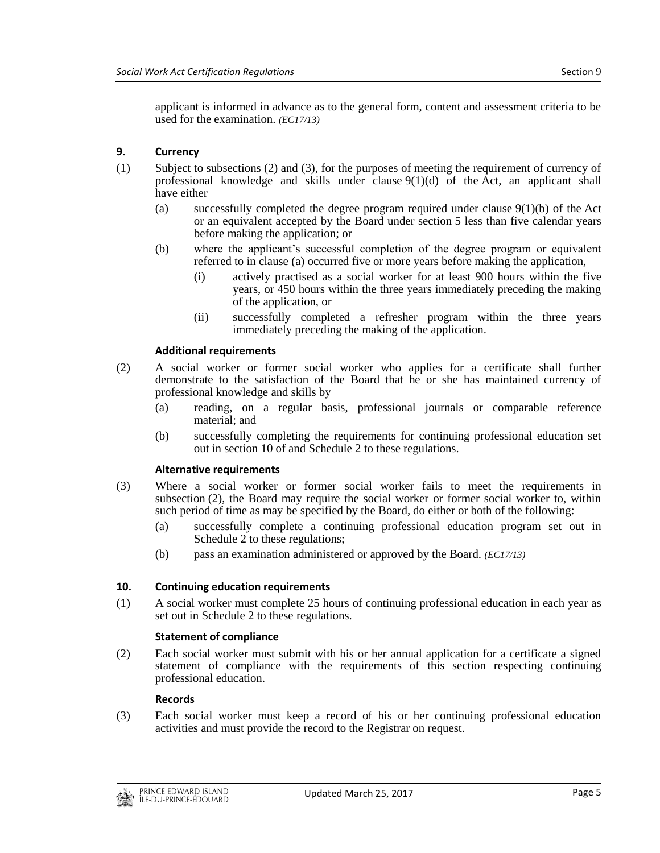applicant is informed in advance as to the general form, content and assessment criteria to be used for the examination. *(EC17/13)*

#### **9. Currency**

- (1) Subject to subsections (2) and (3), for the purposes of meeting the requirement of currency of professional knowledge and skills under clause  $9(1)(d)$  of the Act, an applicant shall have either
	- (a) successfully completed the degree program required under clause 9(1)(b) of the Act or an equivalent accepted by the Board under section 5 less than five calendar years before making the application; or
	- (b) where the applicant's successful completion of the degree program or equivalent referred to in clause (a) occurred five or more years before making the application,
		- (i) actively practised as a social worker for at least 900 hours within the five years, or 450 hours within the three years immediately preceding the making of the application, or
		- (ii) successfully completed a refresher program within the three years immediately preceding the making of the application.

#### **Additional requirements**

- (2) A social worker or former social worker who applies for a certificate shall further demonstrate to the satisfaction of the Board that he or she has maintained currency of professional knowledge and skills by
	- (a) reading, on a regular basis, professional journals or comparable reference material; and
	- (b) successfully completing the requirements for continuing professional education set out in section 10 of and Schedule 2 to these regulations.

#### **Alternative requirements**

- (3) Where a social worker or former social worker fails to meet the requirements in subsection (2), the Board may require the social worker or former social worker to, within such period of time as may be specified by the Board, do either or both of the following:
	- (a) successfully complete a continuing professional education program set out in Schedule 2 to these regulations;
	- (b) pass an examination administered or approved by the Board. *(EC17/13)*

#### **10. Continuing education requirements**

(1) A social worker must complete 25 hours of continuing professional education in each year as set out in Schedule 2 to these regulations.

#### **Statement of compliance**

(2) Each social worker must submit with his or her annual application for a certificate a signed statement of compliance with the requirements of this section respecting continuing professional education.

#### **Records**

(3) Each social worker must keep a record of his or her continuing professional education activities and must provide the record to the Registrar on request.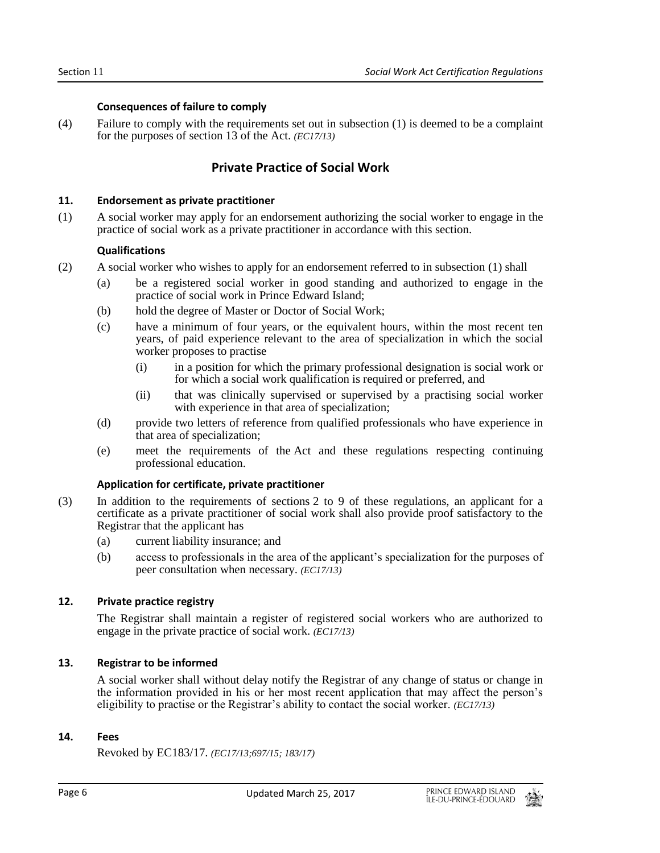#### **Consequences of failure to comply**

(4) Failure to comply with the requirements set out in subsection (1) is deemed to be a complaint for the purposes of section 13 of the Act. *(EC17/13)*

# **Private Practice of Social Work**

#### **11. Endorsement as private practitioner**

(1) A social worker may apply for an endorsement authorizing the social worker to engage in the practice of social work as a private practitioner in accordance with this section.

#### **Qualifications**

- (2) A social worker who wishes to apply for an endorsement referred to in subsection (1) shall
	- (a) be a registered social worker in good standing and authorized to engage in the practice of social work in Prince Edward Island;
	- (b) hold the degree of Master or Doctor of Social Work;
	- (c) have a minimum of four years, or the equivalent hours, within the most recent ten years, of paid experience relevant to the area of specialization in which the social worker proposes to practise
		- (i) in a position for which the primary professional designation is social work or for which a social work qualification is required or preferred, and
		- (ii) that was clinically supervised or supervised by a practising social worker with experience in that area of specialization;
	- (d) provide two letters of reference from qualified professionals who have experience in that area of specialization;
	- (e) meet the requirements of the Act and these regulations respecting continuing professional education.

# **Application for certificate, private practitioner**

- (3) In addition to the requirements of sections 2 to 9 of these regulations, an applicant for a certificate as a private practitioner of social work shall also provide proof satisfactory to the Registrar that the applicant has
	- (a) current liability insurance; and
	- (b) access to professionals in the area of the applicant's specialization for the purposes of peer consultation when necessary. *(EC17/13)*

# **12. Private practice registry**

The Registrar shall maintain a register of registered social workers who are authorized to engage in the private practice of social work. *(EC17/13)*

# **13. Registrar to be informed**

A social worker shall without delay notify the Registrar of any change of status or change in the information provided in his or her most recent application that may affect the person's eligibility to practise or the Registrar's ability to contact the social worker. *(EC17/13)*

# **14. Fees**

Revoked by EC183/17. *(EC17/13;697/15; 183/17)*

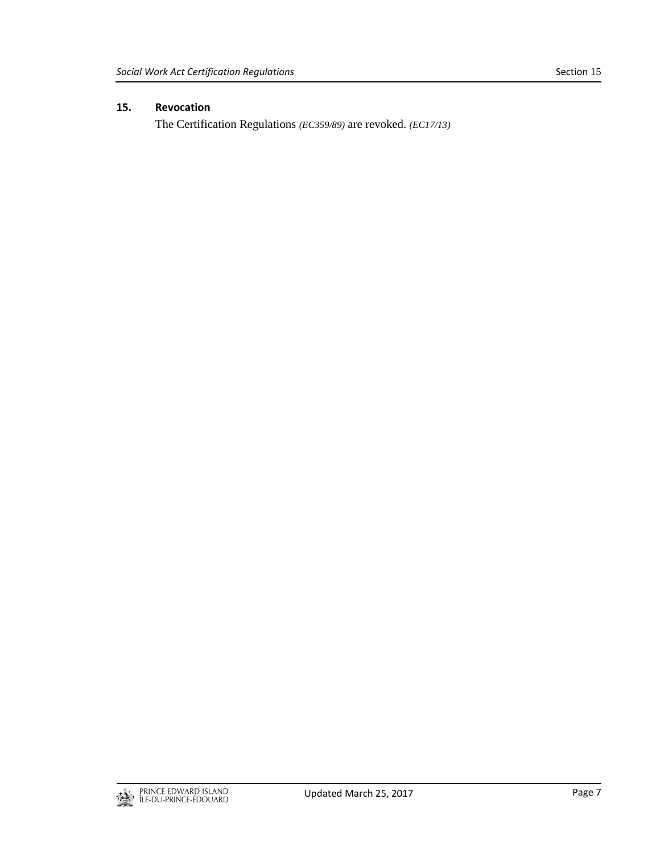# **15. Revocation**

The Certification Regulations *(EC359/89)* are revoked. *(EC17/13)*

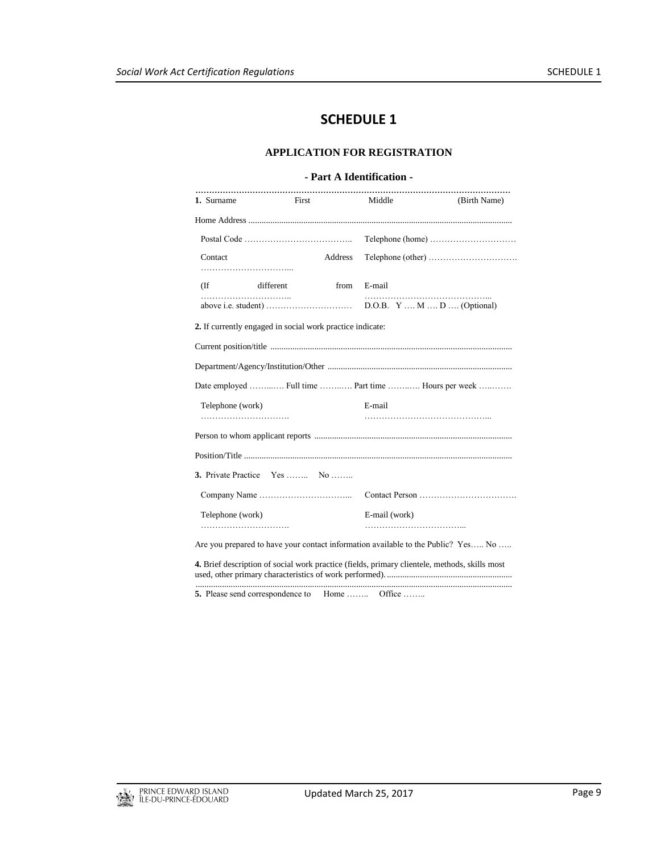# **SCHEDULE 1**

#### **APPLICATION FOR REGISTRATION**

#### **- Part A Identification -**

| 1. Surname       | <b>First</b>                                              |         | Middle        | (Birth Name)                                                                                  |  |
|------------------|-----------------------------------------------------------|---------|---------------|-----------------------------------------------------------------------------------------------|--|
|                  |                                                           |         |               |                                                                                               |  |
|                  |                                                           |         |               |                                                                                               |  |
| Contact          |                                                           | Address |               |                                                                                               |  |
| $($ If           | different                                                 | from    | E-mail        |                                                                                               |  |
|                  |                                                           |         |               |                                                                                               |  |
|                  | 2. If currently engaged in social work practice indicate: |         |               |                                                                                               |  |
|                  |                                                           |         |               |                                                                                               |  |
|                  |                                                           |         |               |                                                                                               |  |
|                  |                                                           |         |               | Date employed  Full time  Part time  Hours per week                                           |  |
| Telephone (work) |                                                           |         | E-mail        |                                                                                               |  |
|                  |                                                           |         |               |                                                                                               |  |
|                  |                                                           |         |               |                                                                                               |  |
|                  | <b>3.</b> Private Practice Yes  No                        |         |               |                                                                                               |  |
|                  |                                                           |         |               |                                                                                               |  |
| Telephone (work) |                                                           |         | E-mail (work) |                                                                                               |  |
|                  |                                                           |         |               | Are you prepared to have your contact information available to the Public? Yes No             |  |
|                  |                                                           |         |               | 4. Brief description of social work practice (fields, primary clientele, methods, skills most |  |

used, other primary characteristics of work performed). .........................................................

................................................................................................................................................ **5.** Please send correspondence to Home ……... Office ……..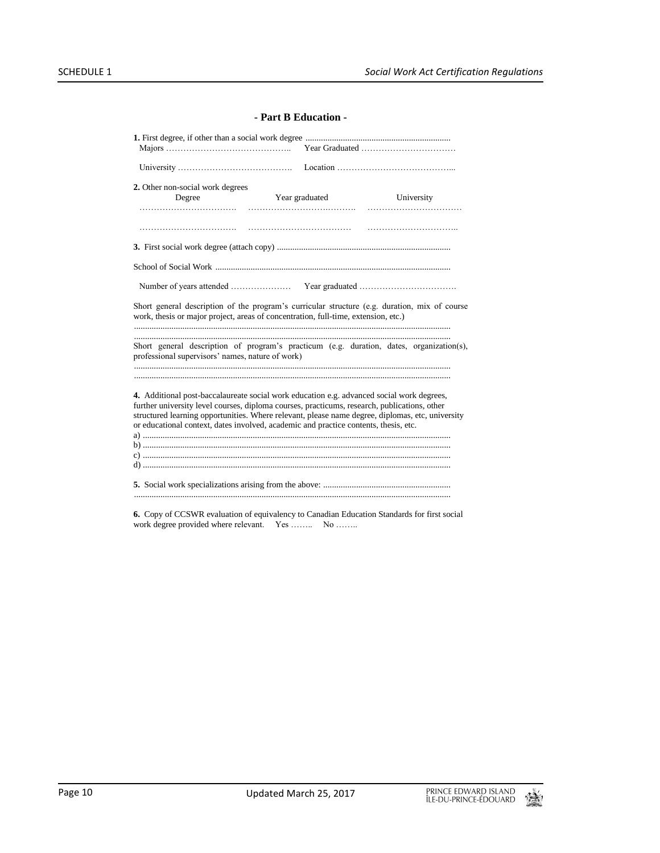#### **- Part B Education -**

| 2. Other non-social work degrees                                                                                                                                                                                                                                                                                                                                                      |                |            |  |  |  |
|---------------------------------------------------------------------------------------------------------------------------------------------------------------------------------------------------------------------------------------------------------------------------------------------------------------------------------------------------------------------------------------|----------------|------------|--|--|--|
| Degree                                                                                                                                                                                                                                                                                                                                                                                | Year graduated | University |  |  |  |
|                                                                                                                                                                                                                                                                                                                                                                                       |                |            |  |  |  |
|                                                                                                                                                                                                                                                                                                                                                                                       |                |            |  |  |  |
|                                                                                                                                                                                                                                                                                                                                                                                       |                |            |  |  |  |
|                                                                                                                                                                                                                                                                                                                                                                                       |                |            |  |  |  |
|                                                                                                                                                                                                                                                                                                                                                                                       |                |            |  |  |  |
| Short general description of the program's curricular structure (e.g. duration, mix of course<br>work, thesis or major project, areas of concentration, full-time, extension, etc.)                                                                                                                                                                                                   |                |            |  |  |  |
| Short general description of program's practicum (e.g. duration, dates, organization(s),<br>professional supervisors' names, nature of work)                                                                                                                                                                                                                                          |                |            |  |  |  |
|                                                                                                                                                                                                                                                                                                                                                                                       |                |            |  |  |  |
| 4. Additional post-baccalaureate social work education e.g. advanced social work degrees,<br>further university level courses, diploma courses, practicums, research, publications, other<br>structured learning opportunities. Where relevant, please name degree, diplomas, etc, university<br>or educational context, dates involved, academic and practice contents, thesis, etc. |                |            |  |  |  |
|                                                                                                                                                                                                                                                                                                                                                                                       |                |            |  |  |  |
|                                                                                                                                                                                                                                                                                                                                                                                       |                |            |  |  |  |
|                                                                                                                                                                                                                                                                                                                                                                                       |                |            |  |  |  |
|                                                                                                                                                                                                                                                                                                                                                                                       |                |            |  |  |  |

**6.** Copy of CCSWR evaluation of equivalency to Canadian Education Standards for first social work degree provided where relevant. Yes ........ No ........

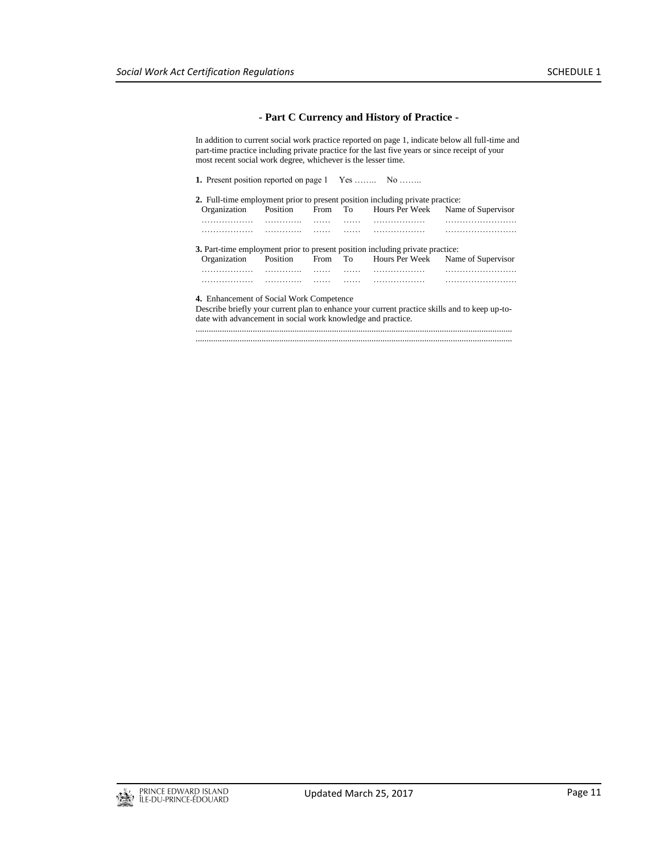#### **- Part C Currency and History of Practice -**

In addition to current social work practice reported on page 1, indicate below all full-time and part-time practice including private practice for the last five years or since receipt of your most recent social work degree, whichever is the lesser time.

**1.** Present position reported on page 1 Yes …….. No ……..

| 2. Full-time employment prior to present position including private practice:                                                                                 |          |   |   |   |                                           |  |  |
|---------------------------------------------------------------------------------------------------------------------------------------------------------------|----------|---|---|---|-------------------------------------------|--|--|
| Organization                                                                                                                                                  | Position |   |   |   | From To Hours Per Week Name of Supervisor |  |  |
| .                                                                                                                                                             | .        | . | . | . |                                           |  |  |
| .                                                                                                                                                             |          |   |   | . | .                                         |  |  |
| 3. Part-time employment prior to present position including private practice:                                                                                 |          |   |   |   |                                           |  |  |
| Organization                                                                                                                                                  | Position |   |   |   | From To Hours Per Week Name of Supervisor |  |  |
| .                                                                                                                                                             | .        | . | . | . |                                           |  |  |
| .                                                                                                                                                             |          |   |   | . |                                           |  |  |
| 4. Enhancement of Social Work Competence                                                                                                                      |          |   |   |   |                                           |  |  |
| Describe briefly your current plan to enhance your current practice skills and to keep up-to-<br>date with advancement in social work knowledge and practice. |          |   |   |   |                                           |  |  |

................................................................................................................................................ ................................................................................................................................................

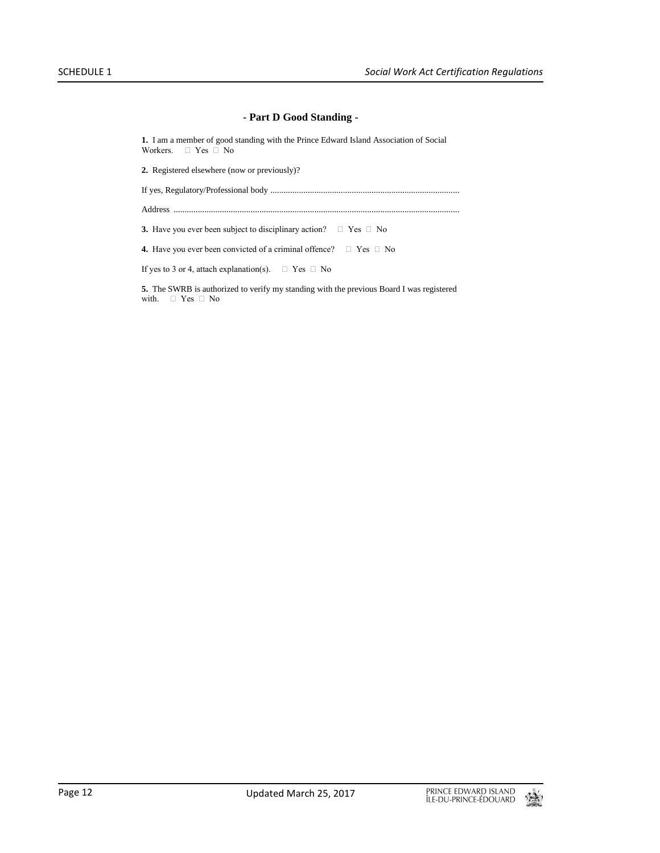#### **- Part D Good Standing -**

**1.** I am a member of good standing with the Prince Edward Island Association of Social Workers.  $\Box$  Yes  $\Box$  No

**2.** Registered elsewhere (now or previously)?

If yes, Regulatory/Professional body ......................................................................................

Address ..................................................................................................................................

**3.** Have you ever been subject to disciplinary action?  $\Box$  Yes  $\Box$  No

**4.** Have you ever been convicted of a criminal offence?  $\Box$  Yes  $\Box$  No

If yes to 3 or 4, attach explanation(s).  $\Box$  Yes  $\Box$  No

**5.** The SWRB is authorized to verify my standing with the previous Board I was registered with.  $\Box$  Yes  $\Box$  No

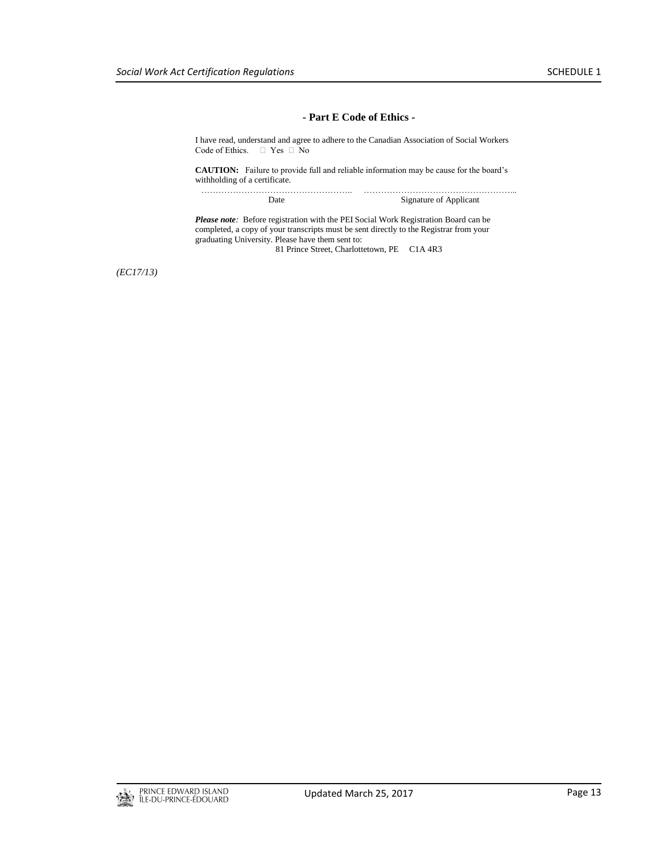……………………………………………...

#### **- Part E Code of Ethics -**

I have read, understand and agree to adhere to the Canadian Association of Social Workers Code of Ethics.  $\Box$  Yes  $\Box$  No

**CAUTION:** Failure to provide full and reliable information may be cause for the board's withholding of a certificate.

| Date | Signature of Applicant |
|------|------------------------|

*Please note:* Before registration with the PEI Social Work Registration Board can be completed, a copy of your transcripts must be sent directly to the Registrar from your graduating University. Please have them sent to:

81 Prince Street, Charlottetown, PE C1A 4R3

*(EC17/13)*

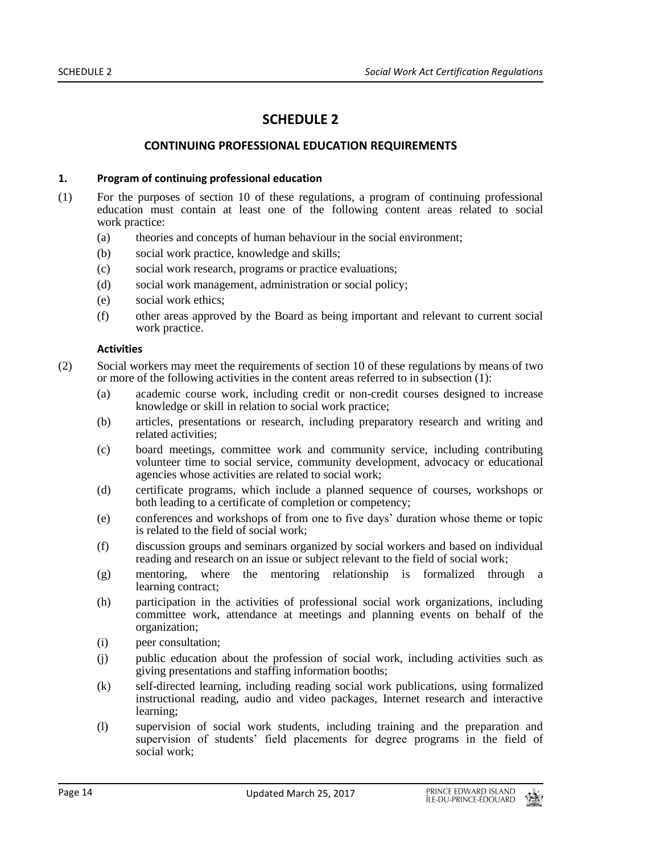# **SCHEDULE 2**

# **CONTINUING PROFESSIONAL EDUCATION REQUIREMENTS**

#### **1. Program of continuing professional education**

- (1) For the purposes of section 10 of these regulations, a program of continuing professional education must contain at least one of the following content areas related to social work practice:
	- (a) theories and concepts of human behaviour in the social environment;
	- (b) social work practice, knowledge and skills;
	- (c) social work research, programs or practice evaluations;
	- (d) social work management, administration or social policy;
	- (e) social work ethics;
	- (f) other areas approved by the Board as being important and relevant to current social work practice.

#### **Activities**

(2) Social workers may meet the requirements of section 10 of these regulations by means of two or more of the following activities in the content areas referred to in subsection (1):

- (a) academic course work, including credit or non-credit courses designed to increase knowledge or skill in relation to social work practice;
- (b) articles, presentations or research, including preparatory research and writing and related activities;
- (c) board meetings, committee work and community service, including contributing volunteer time to social service, community development, advocacy or educational agencies whose activities are related to social work;
- (d) certificate programs, which include a planned sequence of courses, workshops or both leading to a certificate of completion or competency;
- (e) conferences and workshops of from one to five days' duration whose theme or topic is related to the field of social work;
- (f) discussion groups and seminars organized by social workers and based on individual reading and research on an issue or subject relevant to the field of social work;
- (g) mentoring, where the mentoring relationship is formalized through a learning contract;
- (h) participation in the activities of professional social work organizations, including committee work, attendance at meetings and planning events on behalf of the organization;
- (i) peer consultation;
- (j) public education about the profession of social work, including activities such as giving presentations and staffing information booths;
- (k) self-directed learning, including reading social work publications, using formalized instructional reading, audio and video packages, Internet research and interactive learning;
- (l) supervision of social work students, including training and the preparation and supervision of students' field placements for degree programs in the field of social work;